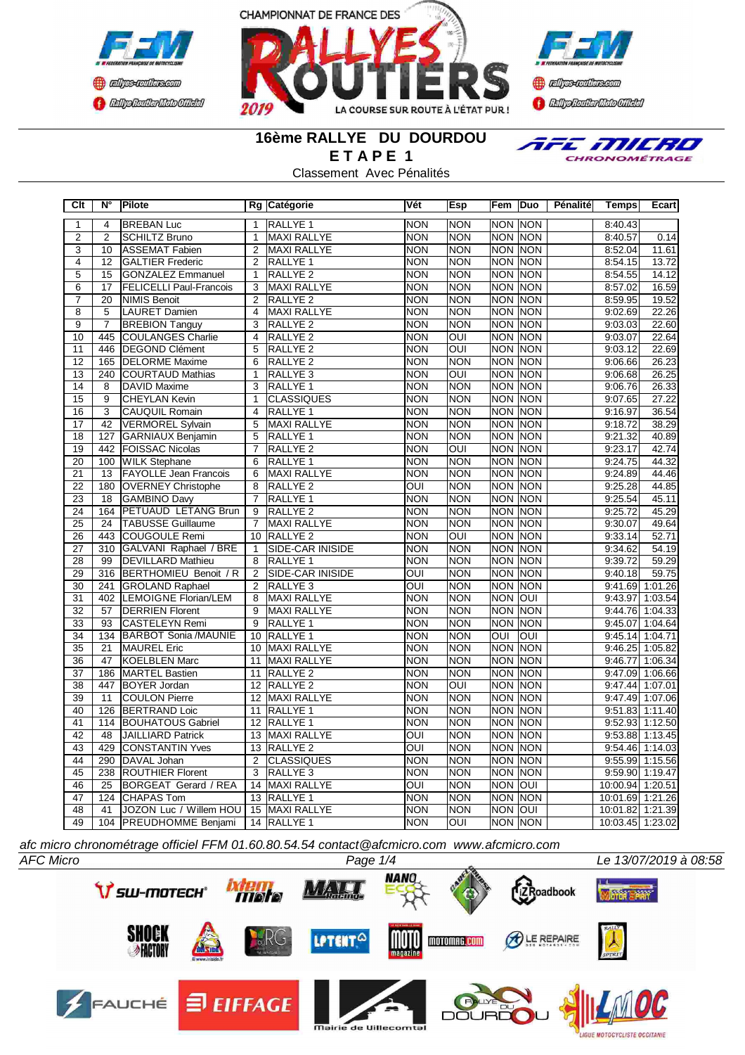





# **16ème RALLYE DU DOURDOU E T A P E 1**

Classement Avec Pénalités



| Clt             | $N^{\circ}$     | Pilote                         |                         | Rg Catégorie            | Vét              | Esp                     |                | Fem Duo        | Pénalité | <b>Temps</b>     | Ecart             |
|-----------------|-----------------|--------------------------------|-------------------------|-------------------------|------------------|-------------------------|----------------|----------------|----------|------------------|-------------------|
| 1               | 4               | <b>BREBAN Luc</b>              | $\mathbf{1}$            | <b>RALLYE 1</b>         | <b>NON</b>       | <b>NON</b>              |                | <b>NON NON</b> |          | 8:40.43          |                   |
| $\overline{2}$  | $\overline{2}$  | <b>SCHILTZ Bruno</b>           | $\mathbf{1}$            | <b>MAXI RALLYE</b>      | <b>NON</b>       | <b>NON</b>              |                | NON NON        |          | 8:40.57          | 0.14              |
| $\overline{3}$  | 10              | ASSEMAT Fabien                 | $\overline{2}$          | <b>MAXI RALLYE</b>      | <b>NON</b>       | <b>NON</b>              |                | <b>NON NON</b> |          | 8:52.04          | 11.61             |
| $\overline{4}$  | 12              | <b>GALTIER Frederic</b>        | $\overline{2}$          | RALLYE <sub>1</sub>     | <b>NON</b>       | <b>NON</b>              |                | <b>NON NON</b> |          | 8:54.15          | 13.72             |
| $\overline{5}$  | 15              | <b>GONZALEZ Emmanuel</b>       | 1                       | RALLYE <sub>2</sub>     | <b>NON</b>       | <b>NON</b>              |                | NON NON        |          | 8:54.55          | 14.12             |
| 6               | $\overline{17}$ | <b>FELICELLI Paul-Francois</b> | 3                       | MAXI RALLYE             | <b>NON</b>       | <b>NON</b>              |                | <b>NON NON</b> |          | 8:57.02          | 16.59             |
| $\overline{7}$  | 20              | NIMIS Benoit                   | 2                       | RALLYE <sub>2</sub>     | <b>NON</b>       | <b>NON</b>              |                | NON NON        |          | 8:59.95          | 19.52             |
| $\overline{8}$  | $\overline{5}$  | LAURET Damien                  | $\overline{4}$          | <b>MAXI RALLYE</b>      | <b>NON</b>       | <b>NON</b>              |                | <b>NON NON</b> |          | 9:02.69          | 22.26             |
| $\overline{9}$  | $\overline{7}$  | <b>BREBION Tanguy</b>          | 3                       | RALLYE <sub>2</sub>     | <b>NON</b>       | <b>NON</b>              | <b>NON</b>     | <b>NON</b>     |          | 9:03.03          | 22.60             |
| 10              | 445             | <b>COULANGES Charlie</b>       | $\overline{\mathbf{4}}$ | RALLYE <sub>2</sub>     | <b>NON</b>       | OUI                     | <b>NON</b>     | <b>NON</b>     |          | 9:03.07          | 22.64             |
| 11              | 446             | <b>DEGOND Clément</b>          | 5                       | RALLYE <sub>2</sub>     | <b>NON</b>       | <b>OUI</b>              |                | NON NON        |          | 9:03.12          | 22.69             |
| $\overline{12}$ | 165             | <b>DELORME</b> Maxime          | 6                       | RALLYE <sub>2</sub>     | <b>NON</b>       | <b>NON</b>              | <b>NON</b>     | <b>NON</b>     |          | 9:06.66          | 26.23             |
| $\overline{13}$ |                 | 240 COURTAUD Mathias           | $\overline{1}$          | RALLYE <sub>3</sub>     | <b>NON</b>       | $\overline{\text{OUI}}$ |                | <b>NON NON</b> |          | 9:06.68          | 26.25             |
| 14              | $\overline{8}$  | <b>DAVID Maxime</b>            | $\overline{3}$          | RALLYE <sub>1</sub>     | <b>NON</b>       | <b>NON</b>              |                | <b>NON NON</b> |          | 9:06.76          | 26.33             |
| $\overline{15}$ | 9               | <b>CHEYLAN Kevin</b>           | 1                       | <b>CLASSIQUES</b>       | <b>NON</b>       | <b>NON</b>              |                | <b>NON NON</b> |          | 9:07.65          | 27.22             |
| 16              | $\overline{3}$  | <b>CAUQUIL Romain</b>          | $\overline{\mathbf{4}}$ | <b>RALLYE 1</b>         | <b>NON</b>       | <b>NON</b>              |                | NON INON       |          | 9:16.97          | 36.54             |
| 17              | 42              | VERMOREL Sylvain               | 5                       | MAXI RALLYE             | <b>NON</b>       | <b>NON</b>              |                | <b>NON NON</b> |          | 9:18.72          | 38.29             |
| $\overline{18}$ | 127             | GARNIAUX Benjamin              | $\overline{5}$          | <b>RALLYE 1</b>         | <b>NON</b>       | <b>NON</b>              |                | <b>NON NON</b> |          | 9:21.32          | 40.89             |
| 19              |                 | 442   FOISSAC Nicolas          | $\overline{7}$          | RALLYE <sub>2</sub>     | <b>NON</b>       | OUI                     |                | NON NON        |          | 9:23.17          | 42.74             |
| 20              |                 | 100 WILK Stephane              | 6                       | RALLYE <sub>1</sub>     | <b>NON</b>       | <b>NON</b>              |                | <b>NON NON</b> |          | 9:24.75          | 44.32             |
| 21              | 13              | <b>FAYOLLE Jean Francois</b>   | 6                       | MAXI RALLYE             | <b>NON</b>       | <b>NON</b>              |                | NON NON        |          | 9:24.89          | 44.46             |
| $\overline{22}$ | 180             | <b>OVERNEY Christophe</b>      | $\overline{8}$          | RALLYE <sub>2</sub>     | OUI              | <b>NON</b>              |                | NON NON        |          | 9:25.28          | 44.85             |
| $\overline{23}$ | $\overline{18}$ | <b>GAMBINO Davy</b>            | $\overline{7}$          | <b>RALLYE 1</b>         | <b>NON</b>       | <b>NON</b>              |                | <b>NON NON</b> |          | 9:25.54          | 45.11             |
| $\overline{24}$ | 164             | <b>PETUAUD LETANG Brun</b>     | 9                       | <b>RALLYE 2</b>         | <b>NON</b>       | <b>NON</b>              |                | <b>NON NON</b> |          | 9:25.72          | 45.29             |
| $\overline{25}$ | 24              | <b>TABUSSE Guillaume</b>       | 7                       | <b>MAXI RALLYE</b>      | <b>NON</b>       | <b>NON</b>              |                | <b>NON NON</b> |          | 9:30.07          | 49.64             |
| 26              | 443             | <b>COUGOULE Remi</b>           | 10                      | RALLYE <sub>2</sub>     | <b>NON</b>       | $\overline{OUI}$        |                | <b>NON NON</b> |          | 9:33.14          | 52.71             |
| 27              | 310             | GALVANI Raphael / BRE          | $\mathbf{1}$            | <b>SIDE-CAR INISIDE</b> | <b>NON</b>       | <b>NON</b>              | <b>NON</b>     | <b>NON</b>     |          | 9:34.62          | 54.19             |
| $\overline{28}$ | 99              | <b>DEVILLARD Mathieu</b>       | 8                       | <b>RALLYE 1</b>         | <b>NON</b>       | <b>NON</b>              |                | <b>NON NON</b> |          | 9:39.72          | 59.29             |
| 29              | 316             | BERTHOMIEU Benoit / R          | $\overline{2}$          | <b>SIDE-CAR INISIDE</b> | OUI              | <b>NON</b>              |                | NON NON        |          | 9:40.18          | 59.75             |
| 30              | 241             | <b>GROLAND Raphael</b>         | 2                       | RALLYE <sub>3</sub>     | OUI              | <b>NON</b>              |                | <b>NON NON</b> |          |                  | 9:41.69 1:01.26   |
| 31              |                 | 402 LEMOIGNE Florian/LEM       | 8                       | MAXI RALLYE             | <b>NON</b>       | <b>NON</b>              | <b>NON</b>     | <b>OUI</b>     |          | 9.43.97          | 1:03.54           |
| $\overline{32}$ | 57              | <b>DERRIEN Florent</b>         | 9                       | <b>MAXI RALLYE</b>      | <b>NON</b>       | <b>NON</b>              |                | <b>NON NON</b> |          |                  | $9:44.76$ 1:04.33 |
| $\overline{33}$ | 93              | <b>CASTELEYN Remi</b>          | 9                       | <b>RALLYE 1</b>         | <b>NON</b>       | <b>NON</b>              |                | NON NON        |          |                  | $9:45.07$ 1:04.64 |
| $\overline{34}$ |                 | 134 BARBOT Sonia /MAUNIE       |                         | 10 RALLYE 1             | <b>NON</b>       | <b>NON</b>              | OUI            | <b>OUI</b>     |          |                  | $9:45.14$ 1:04.71 |
| 35              | 21              | <b>MAUREL</b> Eric             | 10                      | MAXI RALLYE             | <b>NON</b>       | <b>NON</b>              |                | NON NON        |          |                  | $9:46.25$ 1:05.82 |
| $\overline{36}$ | 47              | KOELBLEN Marc                  | 11                      | MAXI RALLYE             | <b>NON</b>       | <b>NON</b>              |                | <b>NON NON</b> |          | 9.46.77          | 1:06.34           |
| $\overline{37}$ | 186             | <b>MARTEL Bastien</b>          | $\overline{11}$         | RALLYE <sub>2</sub>     | <b>NON</b>       | <b>NON</b>              | <b>NON</b>     | NON            |          |                  | 9:47.09 1:06.66   |
| $\overline{38}$ | 447             | <b>BOYER Jordan</b>            | 12                      | <b>RALLYE 2</b>         | <b>NON</b>       | $\overline{O}$          |                | <b>NON NON</b> |          | 9:47.44          | 1:07.01           |
| 39              | 11              | <b>COULON Pierre</b>           | 12                      | MAXI RALLYE             | <b>NON</b>       | <b>NON</b>              | <b>NON</b>     | <b>NON</b>     |          | 9:47.49          | 1:07.06           |
| 40              | 126             | <b>BERTRAND Loic</b>           | 11                      | <b>RALLYE 1</b>         | <b>NON</b>       | <b>NON</b>              | <b>NON</b>     | <b>NON</b>     |          | 9:51.83          | 1:11.40           |
| 41              |                 | 114 BOUHATOUS Gabriel          | 12                      | <b>RALLYE 1</b>         | <b>NON</b>       | <b>NON</b>              |                | NON NON        |          | 9:52.93          | 1:12.50           |
| 42              | 48              | <b>JAILLIARD Patrick</b>       | $\overline{13}$         | <b>MAXI RALLYE</b>      | $\overline{OUI}$ | <b>NON</b>              |                | <b>NON NON</b> |          | 9:53.88          | 1:13.45           |
| 43              | 429             | <b>CONSTANTIN Yves</b>         | 13                      | <b>RALLYE 2</b>         | $\overline{O}$   | <b>NON</b>              |                | <b>NON NON</b> |          |                  | 9:54.46 1:14.03   |
| $\overline{44}$ |                 | 290 DAVAL Johan                | 2                       | <b>CLASSIQUES</b>       | <b>NON</b>       | <b>NON</b>              |                | <b>NON NON</b> |          |                  | $9:55.99$ 1:15.56 |
| 45              | 238             | <b>ROUTHIER Florent</b>        | 3                       | RALLYE <sub>3</sub>     | <b>NON</b>       | <b>NON</b>              |                | <b>NON NON</b> |          |                  | 9:59.90 1:19.47   |
| 46              | 25              | <b>BORGEAT Gerard / REA</b>    | 14                      | MAXI RALLYE             | OUI              | <b>NON</b>              | <b>NON</b>     | loui           |          | 10:00.94 1:20.51 |                   |
| $\overline{47}$ |                 | 124 CHAPAS Tom                 | 13                      | RALLYE <sub>1</sub>     | <b>NON</b>       | <b>NON</b>              |                | <b>NON NON</b> |          | 10:01.69 1:21.26 |                   |
| 48              | $\overline{41}$ | JOZON Luc / Willem HOU         | $\overline{15}$         | <b>MAXI RALLYE</b>      | <b>NON</b>       | <b>NON</b>              | <b>NON OUI</b> |                |          | 10:01.82 1:21.39 |                   |
| 49              |                 | 104 PREUDHOMME Benjami         |                         | 14 RALLYE 1             | <b>NON</b>       | OUI                     |                | NON NON        |          | 10:03.45 1:23.02 |                   |

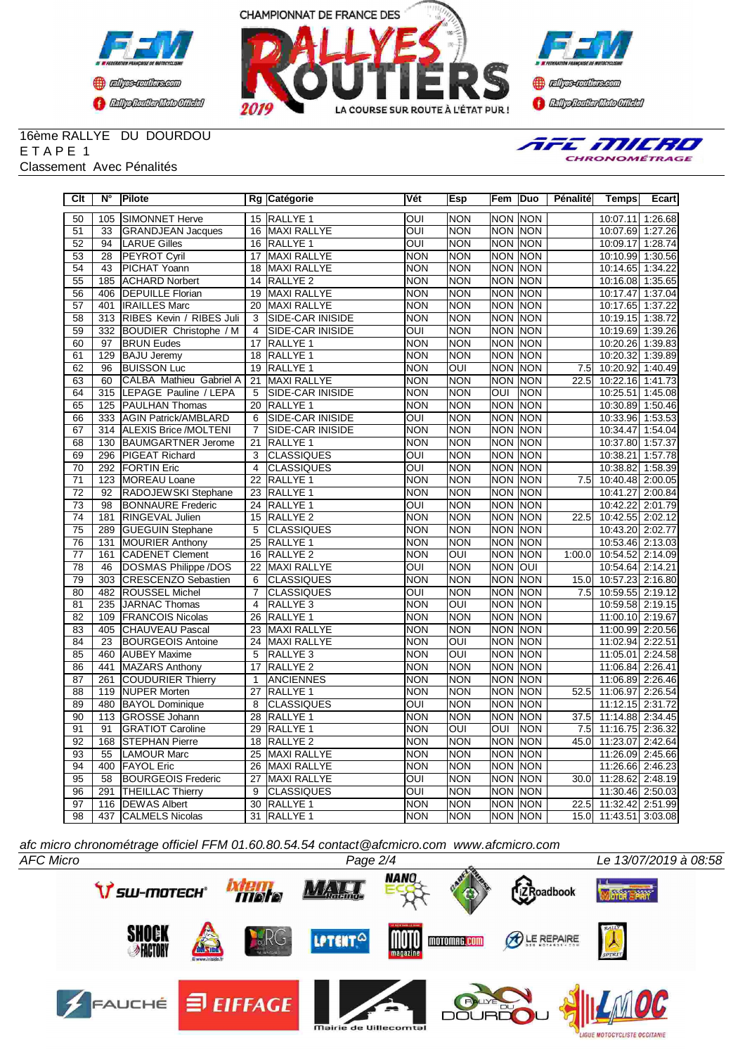





#### 16ème RALLYE DU DOURDOU E T A P E 1 Classement Avec Pénalités



| Clt             | $N^{\circ}$      | Pilote                        |                 | Rg Catégorie            | Vét                     | Esp                     | Fem            | Duo            | Pénalité         | <b>Temps</b>          | Ecart   |
|-----------------|------------------|-------------------------------|-----------------|-------------------------|-------------------------|-------------------------|----------------|----------------|------------------|-----------------------|---------|
| 50              | 105              | SIMONNET Herve                |                 | 15 RALLYE 1             | $\overline{O}$          | <b>NON</b>              | <b>NON NON</b> |                |                  | 10:07.11 1:26.68      |         |
| 51              | 33               | <b>GRANDJEAN Jacques</b>      |                 | 16 MAXI RALLYE          | OUI                     | <b>NON</b>              |                | NON NON        |                  | 10:07.69 1:27.26      |         |
| $\overline{52}$ | $\overline{94}$  | <b>LARUE Gilles</b>           |                 | 16 RALLYE 1             | $\overline{\text{OUI}}$ | <b>NON</b>              |                | <b>NON NON</b> |                  | 10:09.17 1:28.74      |         |
| 53              | 28               | <b>PEYROT Cyril</b>           | 17              | MAXI RALLYE             | INON                    | <b>NON</b>              |                | NON NON        |                  | 10:10.99 1:30.56      |         |
| 54              | $\overline{43}$  | PICHAT Yoann                  | $\overline{18}$ | <b>MAXI RALLYE</b>      | <b>NON</b>              | <b>NON</b>              |                | <b>NON NON</b> |                  | 10:14.65 1:34.22      |         |
| 55              | 185              | <b>ACHARD Norbert</b>         | 14              | RALLYE <sub>2</sub>     | <b>NON</b>              | <b>NON</b>              |                | NON INON       |                  | 10:16.08 1:35.65      |         |
| 56              | 406              | <b>DEPUILLE Florian</b>       | 19              | <b>MAXI RALLYE</b>      | <b>NON</b>              | <b>NON</b>              | <b>NON NON</b> |                |                  | 10:17.47 1:37.04      |         |
| 57              | 401              | <b>IRAILLES Marc</b>          | 20              | <b>MAXI RALLYE</b>      | <b>NON</b>              | <b>NON</b>              | <b>NON NON</b> |                |                  | 10:17.65 1:37.22      |         |
| $\overline{58}$ | 313              | RIBES Kevin / RIBES Juli      | 3               | <b>SIDE-CAR INISIDE</b> | <b>NON</b>              | <b>NON</b>              |                | <b>NON NON</b> |                  | 10:19.15 1:38.72      |         |
| 59              | 332              | <b>BOUDIER Christophe / M</b> | $\overline{4}$  | <b>SIDE-CAR INISIDE</b> | OUI                     | <b>NON</b>              | <b>NON NON</b> |                |                  | 10:19.69 1:39.26      |         |
| 60              | $\overline{97}$  | <b>BRUN Eudes</b>             | 17              | RALLYE 1                | <b>NON</b>              | <b>NON</b>              | <b>NON NON</b> |                |                  | 10:20.26 1:39.83      |         |
| 61              | 129              | <b>BAJU Jeremy</b>            | 18              | RALLYE <sub>1</sub>     | <b>NON</b>              | <b>NON</b>              |                | NON NON        |                  | 10:20.32 1:39.89      |         |
| 62              | 96               | <b>BUISSON Luc</b>            | 19              | RALLYE <sub>1</sub>     | <b>NON</b>              | OUI                     |                | NON NON        | 7.5              | 10:20.92              | 1:40.49 |
| 63              | 60               | CALBA Mathieu Gabriel A       | 21              | <b>MAXI RALLYE</b>      | <b>NON</b>              | <b>NON</b>              | <b>NON</b>     | <b>INON</b>    | 22.5             | 10:22.16 1:41.73      |         |
| 64              | 315              | LEPAGE Pauline / LEPA         | 5               | SIDE-CAR INISIDE        | <b>NON</b>              | <b>NON</b>              | OUI            | <b>NON</b>     |                  | 10:25.51              | 1:45.08 |
| 65              | 125              | <b>PAULHAN Thomas</b>         | 20              | RALLYE 1                | <b>NON</b>              | <b>NON</b>              | <b>NON</b>     | <b>NON</b>     |                  | 10:30.89 1:50.46      |         |
| 66              | 333              | <b>AGIN Patrick/AMBLARD</b>   | 6               | SIDE-CAR INISIDE        | $\overline{O}$          | <b>NON</b>              | NON NON        |                |                  | 10:33.96 1:53.53      |         |
| 67              | $\overline{314}$ | <b>ALEXIS Brice /MOLTENI</b>  | $\overline{7}$  | <b>SIDE-CAR INISIDE</b> | <b>NON</b>              | <b>NON</b>              | <b>NON NON</b> |                |                  | 10:34.47              | 1:54.04 |
| 68              | 130              | BAUMGARTNER Jerome            | 21              | RALLYE <sub>1</sub>     | <b>NON</b>              | <b>NON</b>              | NON NON        |                |                  | 10:37.80 1:57.37      |         |
| 69              | 296              | <b>PIGEAT Richard</b>         | $\overline{3}$  | <b>CLASSIQUES</b>       | OUI                     | <b>NON</b>              | <b>NON NON</b> |                |                  | 10:38.21              | 1:57.78 |
| 70              | $\overline{292}$ | <b>FORTIN Eric</b>            | $\overline{4}$  | <b>CLASSIQUES</b>       | OUĪ                     | <b>NON</b>              | NON NON        |                |                  | 10:38.82              | 1:58.39 |
| $\overline{71}$ | 123              | MOREAU Loane                  | $\overline{22}$ | RALLYE <sub>1</sub>     | NON                     | <b>NON</b>              | <b>NON NON</b> |                | $\overline{7.5}$ | 10:40.48 2:00.05      |         |
| $\overline{72}$ | 92               | RADOJEWSKI Stephane           | 23              | RALLYE <sub>1</sub>     | INON                    | <b>NON</b>              |                | <b>NON NON</b> |                  | 10:41.27 2:00.84      |         |
| 73              | 98               | <b>BONNAURE</b> Frederic      | 24              | RALLYE 1                | OUI                     | <b>NON</b>              | <b>NON</b>     | <b>NON</b>     |                  | 10:42.22              | 2:01.79 |
| 74              | 181              | RINGEVAL Julien               | 15              | RALLYE <sub>2</sub>     | <b>NON</b>              | <b>NON</b>              | <b>NON</b>     | <b>NON</b>     | 22.5             | 10:42.55 2:02.12      |         |
| $\overline{75}$ | 289              | <b>GUEGUIN Stephane</b>       | 5               | <b>CLASSIQUES</b>       | <b>NON</b>              | <b>NON</b>              | NON NON        |                |                  | 10:43.20 2:02.77      |         |
| 76              | 131              | <b>MOURIER Anthony</b>        | 25              | RALLYE <sub>1</sub>     | <b>NON</b>              | <b>NON</b>              | NON NON        |                |                  | 10:53.46 2:13.03      |         |
| $\overline{77}$ | 161              | <b>CADENET Clement</b>        | 16              | RALLYE <sub>2</sub>     | <b>NON</b>              | OUI                     |                | <b>NON NON</b> | 1:00.0           | 10:54.52 2:14.09      |         |
| 78              | 46               | DOSMAS Philippe /DOS          | 22              | <b>MAXI RALLYE</b>      | OUI                     | <b>NON</b>              | <b>NON OUI</b> |                |                  | 10:54.64 2:14.21      |         |
| 79              | 303              | CRESCENZO Sebastien           | 6               | <b>CLASSIQUES</b>       | <b>NON</b>              | <b>NON</b>              |                | NON NON        | 15.0             | 10:57.23 2:16.80      |         |
| 80              | 482              | <b>ROUSSEL Michel</b>         | $\overline{7}$  | <b>CLASSIQUES</b>       | $\overline{OUI}$        | <b>NON</b>              |                | <b>NON NON</b> | $\overline{7.5}$ | 10:59.55 2:19.12      |         |
| $\overline{81}$ | 235              | JARNAC Thomas                 | $\overline{4}$  | RALLYE <sub>3</sub>     | <b>NON</b>              | $\overline{OUI}$        | <b>NON NON</b> |                |                  | 10:59.58 2:19.15      |         |
| 82              | 109              | <b>FRANCOIS Nicolas</b>       | 26              | RALLYE 1                | <b>NON</b>              | <b>NON</b>              | <b>NON NON</b> |                |                  | 11:00.10 2:19.67      |         |
| 83              | 405              | CHAUVEAU Pascal               | 23              | <b>MAXI RALLYE</b>      | <b>NON</b>              | <b>NON</b>              | NON NON        |                |                  | 11:00.99 2:20.56      |         |
| 84              | $\overline{23}$  | <b>BOURGEOIS Antoine</b>      | $\overline{24}$ | <b>MAXI RALLYE</b>      | <b>NON</b>              | $\overline{\text{OUI}}$ | <b>NON</b>     | <b>NON</b>     |                  | 11:02.94 2:22.51      |         |
| 85              | 460              | <b>AUBEY Maxime</b>           | 5               | RALLYE <sub>3</sub>     | <b>NON</b>              | OUI                     | <b>NON</b>     | <b>NON</b>     |                  | 11:05.01 2:24.58      |         |
| 86              | 441              | <b>MAZARS Anthony</b>         | 17              | RALLYE <sub>2</sub>     | <b>NON</b>              | <b>NON</b>              | <b>NON</b>     | <b>NON</b>     |                  | 11:06.84 2:26.41      |         |
| 87              | 261              | COUDURIER Thierry             | 1               | <b>ANCIENNES</b>        | <b>NON</b>              | <b>NON</b>              | <b>NON NON</b> |                |                  | 11:06.89 2:26.46      |         |
| 88              | 119              | <b>NUPER Morten</b>           | 27              | RALLYE <sub>1</sub>     | <b>NON</b>              | <b>NON</b>              | <b>NON</b>     | <b>NON</b>     | 52.5             | 11:06.97              | 2:26.54 |
| 89              | 480              | <b>BAYOL Dominique</b>        | 8               | <b>CLASSIQUES</b>       | OUI                     | <b>NON</b>              | NON NON        |                |                  | 11:12.15 2:31.72      |         |
| 90              | 113              | GROSSE Johann                 | 28              | RALLYE <sub>1</sub>     | <b>NON</b>              | <b>NON</b>              | NON NON        |                | 37.5             | 11:14.88 2:34.45      |         |
| 91              | 91               | <b>GRATIOT Caroline</b>       | 29              | RALLYE <sub>1</sub>     | <b>NON</b>              | OUI                     | OUI            | <b>NON</b>     | 7.5              | 11:16.75 2:36.32      |         |
| 92              | 168              | <b>STEPHAN Pierre</b>         | 18              | RALLYE <sub>2</sub>     | <b>NON</b>              | <b>NON</b>              | <b>NON</b>     | <b>NON</b>     | 45.0             | 11:23.07              | 2:42.64 |
| 93              | 55               | <b>LAMOUR Marc</b>            | 25              | <b>MAXI RALLYE</b>      | <b>NON</b>              | <b>NON</b>              | <b>NON</b>     | <b>INON</b>    |                  | 11:26.09 2:45.66      |         |
| 94              | 400              | <b>FAYOL</b> Eric             | 26              | <b>MAXI RALLYE</b>      | <b>NON</b>              | <b>NON</b>              | <b>NON NON</b> |                |                  | 11:26.66 2:46.23      |         |
| 95              | 58               | <b>BOURGEOIS Frederic</b>     | 27              | <b>MAXI RALLYE</b>      | OUI                     | <b>NON</b>              | <b>NON NON</b> |                | 30.0             | 11:28.62 2:48.19      |         |
| 96              | 291              | <b>THEILLAC Thierry</b>       | $\overline{9}$  | <b>CLASSIQUES</b>       | OUI                     | <b>NON</b>              | <b>NON NON</b> |                |                  | 11:30.46 2:50.03      |         |
| 97              | 116              | <b>DEWAS Albert</b>           | $\overline{30}$ | RALLYE <sub>1</sub>     | <b>NON</b>              | <b>NON</b>              | <b>NON NON</b> |                | 22.5             | 11:32.42 2:51.99      |         |
| 98              | 437              | <b>CALMELS Nicolas</b>        |                 | 31 RALLYE 1             | <b>NON</b>              | <b>NON</b>              | <b>NON NON</b> |                |                  | 15.0 11:43.51 3:03.08 |         |

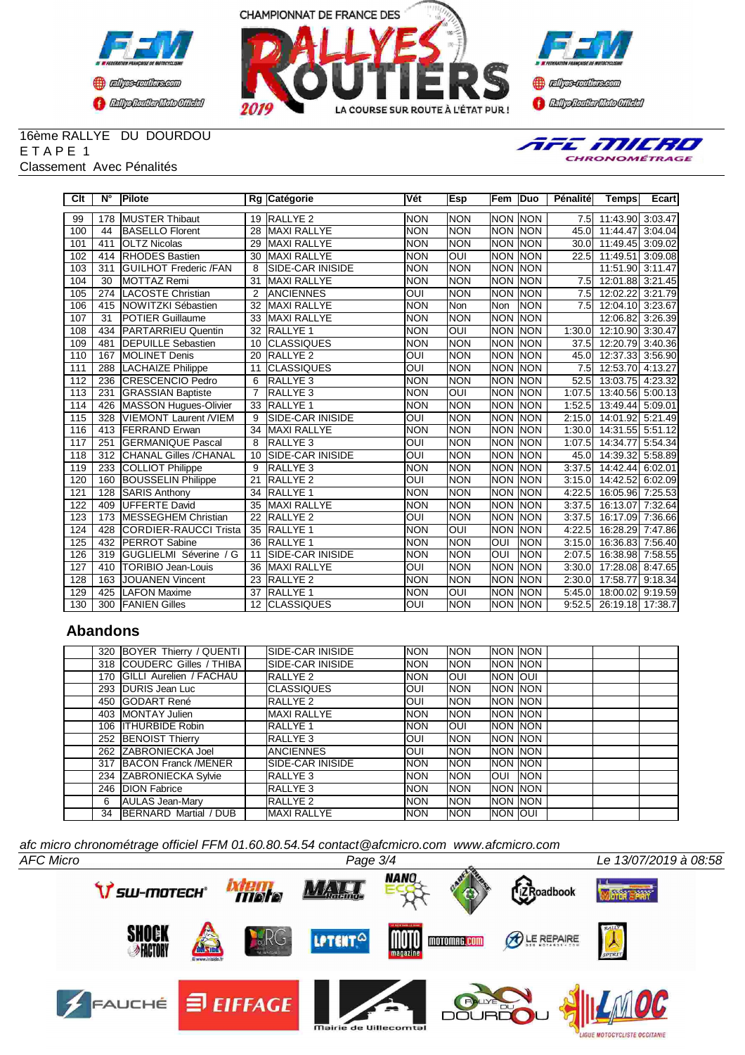





#### 16ème RALLYE DU DOURDOU E T A P E 1 Classement Avec Pénalités



| Clt | $N^{\circ}$      | Pilote                        |                 | Rg Catégorie            | <b>Vét</b>     | Esp                      | Fem            | <b>Duo</b>  | Pénalité    | <b>Temps</b>                         | Ecart   |
|-----|------------------|-------------------------------|-----------------|-------------------------|----------------|--------------------------|----------------|-------------|-------------|--------------------------------------|---------|
| 99  | 178              | <b>MUSTER Thibaut</b>         | 19              | <b>RALLYE 2</b>         | <b>NON</b>     | <b>NON</b>               | <b>NON</b>     | <b>NON</b>  | 7.5         | 11:43.90 3:03.47                     |         |
| 100 | 44               | <b>BASELLO Florent</b>        | 28              | <b>MAXI RALLYE</b>      | Inon           | <b>NON</b>               | <b>NON</b>     | <b>NON</b>  | 45.0        | 11:44.47                             | 3:04.04 |
| 101 | 411              | <b>IOLTZ Nicolas</b>          | 29              | <b>MAXI RALLYE</b>      | <b>NON</b>     | <b>NON</b>               | <b>NON</b>     | <b>NON</b>  | 30.0        | 11:49.45                             | 3:09.02 |
| 102 | 414              | <b>RHODES Bastien</b>         | 30              | <b>MAXI RALLYE</b>      | <b>NON</b>     | OUI                      | <b>NON</b>     | INON        | 22.5        | 11:49.51                             | 3:09.08 |
| 103 | $\overline{311}$ | <b>IGUILHOT Frederic /FAN</b> | 8               | <b>SIDE-CAR INISIDE</b> | <b>NON</b>     | <b>NON</b>               | <b>NON</b>     | <b>INON</b> |             | 11:51.90                             | 3:11.47 |
| 104 | 30               | MOTTAZ Remi                   | 31              | <b>MAXI RALLYE</b>      | <b>NON</b>     | <b>NON</b>               | <b>NON</b>     | <b>NON</b>  | 7.5         | 12:01.88 3:21.45                     |         |
| 105 | 274              | LACOSTE Christian             | 2               | <b>ANCIENNES</b>        | OUI            | <b>NON</b>               | <b>NON</b>     | <b>NON</b>  | 7.5         | 12:02.22                             | 3:21.79 |
| 106 | 415              | NOWITZKI Sébastien            | 32              | <b>MAXI RALLYE</b>      | <b>NON</b>     | Non                      | Non            | <b>NON</b>  | 7.5         | $\overline{12:04.10}$                | 3:23.67 |
| 107 | $\overline{31}$  | <b>POTIER Guillaume</b>       | 33              | <b>MAXI RALLYE</b>      | <b>NON</b>     | <b>NON</b>               | <b>NON</b>     | <b>NON</b>  |             | 12:06.82                             | 3:26.39 |
| 108 | 434              | <b>IPARTARRIEU Quentin</b>    | $\overline{32}$ | <b>RALLYE 1</b>         | <b>NON</b>     | IUO                      | <b>NON</b>     | <b>INON</b> | 1:30.0      | 12:10.90                             | 3:30.47 |
| 109 | 481              | <b>DEPUILLE Sebastien</b>     | 10              | <b>CLASSIQUES</b>       | <b>NON</b>     | <b>NON</b>               | <b>NON</b>     | <b>NON</b>  | 37.5        | 12:20.79 3:40.36                     |         |
| 110 | 167              | <b>IMOLINET Denis</b>         | 20              | <b>RALLYE 2</b>         | loui           |                          | <b>NON</b>     | INON        |             |                                      |         |
| 111 | 288              | <b>LACHAIZE Philippe</b>      | 11              | <b>CLASSIQUES</b>       | $\overline{O}$ | <b>NON</b><br><b>NON</b> | <b>NON</b>     | <b>NON</b>  | 45.0<br>7.5 | 12:37.33 3:56.90<br>12:53.70 4:13.27 |         |
|     |                  |                               |                 |                         |                |                          | <b>NON</b>     |             |             |                                      |         |
| 112 | 236              | <b>ICRESCENCIO Pedro</b>      | 6               | <b>RALLYE 3</b>         | INON           | <b>NON</b>               |                | <b>NON</b>  | 52.5        | 13:03.75                             | 4:23.32 |
| 113 | 231              | <b>GRASSIAN Baptiste</b>      | $\overline{7}$  | RALLYE <sub>3</sub>     | <b>NON</b>     | OUI                      | <b>NON</b>     | <b>NON</b>  | 1:07.5      | 13:40.56                             | 5:00.13 |
| 114 | 426              | MASSON Hugues-Olivier         | 33              | <b>RALLYE 1</b>         | <b>NON</b>     | <b>NON</b>               | <b>NON</b>     | INON        | 1:52.5      | 13:49.44                             | 5:09.01 |
| 115 | 328              | VIEMONT Laurent /VIEM         | 9               | SIDE-CAR INISIDE        | OUI            | <b>NON</b>               | <b>NON</b>     | INON        | 2:15.0      | 14:01.92 5:21.49                     |         |
| 116 | 413              | <b>FERRAND Erwan</b>          | 34              | <b>MAXI RALLYE</b>      | <b>NON</b>     | <b>NON</b>               | <b>NON</b>     | <b>NON</b>  | 1:30.0      | 14:31.55 5:51.12                     |         |
| 117 | 251              | <b>GERMANIQUE Pascal</b>      | 8               | <b>RALLYE 3</b>         | <b>OUI</b>     | <b>NON</b>               | <b>NON</b>     | <b>NON</b>  | 1:07.5      | 14:34.77                             | 5:54.34 |
| 118 | 312              | <b>CHANAL Gilles /CHANAL</b>  | 10              | <b>SIDE-CAR INISIDE</b> | OUI            | <b>NON</b>               | <b>NON</b>     | <b>NON</b>  | 45.0        | 14:39.32                             | 5:58.89 |
| 119 | 233              | <b>COLLIOT Philippe</b>       | 9               | RALLYE <sub>3</sub>     | <b>NON</b>     | <b>NON</b>               | <b>NON</b>     | <b>NON</b>  | 3:37.5      | 14:42.44                             | 6:02.01 |
| 120 | 160              | <b>BOUSSELIN Philippe</b>     | 21              | RALLYE <sub>2</sub>     | OUI            | <b>NON</b>               | <b>NON</b>     | <b>NON</b>  | 3:15.0      | 14:42.52                             | 6:02.09 |
| 121 | 128              | <b>SARIS Anthony</b>          | 34              | <b>RALLYE 1</b>         | <b>NON</b>     | <b>NON</b>               | <b>NON</b>     | <b>NON</b>  | 4:22.5      | 16:05.96 7:25.53                     |         |
| 122 | 409              | UFFERTE David                 | 35              | <b>MAXI RALLYE</b>      | <b>NON</b>     | <b>NON</b>               | <b>NON</b>     | <b>NON</b>  | 3:37.5      | 16:13.07                             | 7:32.64 |
| 123 | 173              | <b>MESSEGHEM Christian</b>    | 22              | <b>RALLYE 2</b>         | OUI            | <b>NON</b>               | <b>NON</b>     | <b>NON</b>  | 3:37.5      | 16:17.09                             | 7:36.66 |
| 124 | 428              | CORDIER-RAUCCI Trista         | 35              | <b>RALLYE 1</b>         | <b>NON</b>     | OUI                      | <b>NON</b>     | INON        | 4:22.5      | 16:28.29 7:47.86                     |         |
| 125 | 432              | <b>IPERROT Sabine</b>         | $\overline{36}$ | <b>RALLYE 1</b>         | <b>NON</b>     | <b>NON</b>               | Ī              | <b>NON</b>  | 3:15.0      | 16:36.83                             | 7:56.40 |
| 126 | 319              | GUGLIELMI Séverine / G        | 11              | <b>SIDE-CAR INISIDE</b> | <b>NON</b>     | <b>NON</b>               | Ī              | <b>NON</b>  | 2:07.5      | 16:38.98 7:58.55                     |         |
| 127 | 410              | TORIBIO Jean-Louis            | 36              | <b>MAXI RALLYE</b>      | loui           | <b>NON</b>               | <b>NON</b>     | <b>NON</b>  | 3:30.0      | 17:28.08 8:47.65                     |         |
| 128 | 163              | <b>JOUANEN Vincent</b>        | 23              | <b>RALLYE 2</b>         | INON           | <b>NON</b>               | <b>NON</b>     | INON        | 2:30.0      | 17:58.77                             | 9:18.34 |
| 129 | 425              | <b>LAFON Maxime</b>           | 37              | <b>RALLYE 1</b>         | <b>NON</b>     | OUI                      | <b>NON</b>     | <b>INON</b> | 5:45.0      | 18:00.02 9:19.59                     |         |
| 130 | 300              | <b>FANIEN Gilles</b>          |                 | <b>12 CLASSIQUES</b>    | <b>OUI</b>     | <b>NON</b>               | <b>NON NON</b> |             | 9:52.5      | 26:19.18 17:38.7                     |         |

## **Abandons**

|    | 320 BOYER Thierry / QUENTI    | SIDE-CAR INISIDE   | <b>NON</b>  | <b>NON</b>  | NON INON         |             |  |
|----|-------------------------------|--------------------|-------------|-------------|------------------|-------------|--|
|    | 318 COUDERC Gilles / THIBA    | SIDE-CAR INISIDE   | <b>NON</b>  | <b>NON</b>  | <b>NON INON</b>  |             |  |
|    | 170 GILLI Aurelien / FACHAU   | RALLYE 2           | <b>NON</b>  | IOUI        | NON JOUI         |             |  |
|    | 293 DURIS Jean Luc            | <b>CLASSIQUES</b>  | IOUI        | <b>NON</b>  | NON INON         |             |  |
|    | 450 IGODART René              | <b>RALLYE 2</b>    | IOUI        | <b>INON</b> | <b>INON INON</b> |             |  |
|    | 403 IMONTAY Julien            | <b>MAXI RALLYE</b> | <b>NON</b>  | <b>NON</b>  | NON NON          |             |  |
|    | 106 ITHURBIDE Robin           | <b>IRALLYE 1</b>   | <b>INON</b> | <b>OUI</b>  | NON INON         |             |  |
|    | 252 BENOIST Thierry           | RALLYE 3           | IOUI        | <b>NON</b>  | NON INON         |             |  |
|    | 262 ZABRONIECKA Joel          | <b>ANCIENNES</b>   | IOUI        | <b>INON</b> | NON INON         |             |  |
|    | 317 BACON Franck /MENER       | SIDE-CAR INISIDE   | <b>INON</b> | <b>NON</b>  | NON INON         |             |  |
|    | 234 ZABRONIECKA Sylvie        | <b>RALLYE 3</b>    | <b>NON</b>  | <b>NON</b>  | <b>OUI</b>       | <b>INON</b> |  |
|    | 246 DION Fabrice              | RALLYE 3           | <b>INON</b> | <b>NON</b>  | NON INON         |             |  |
| 6  | <b>AULAS Jean-Mary</b>        | RALLYE 2           | <b>INON</b> | <b>NON</b>  | NON INON         |             |  |
| 34 | <b>IBERNARD Martial / DUB</b> | <b>MAXI RALLYE</b> | <b>INON</b> | <b>NON</b>  | <b>NON OUI</b>   |             |  |